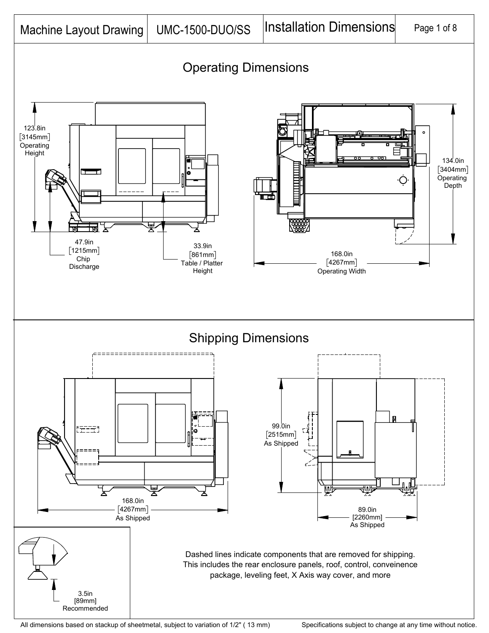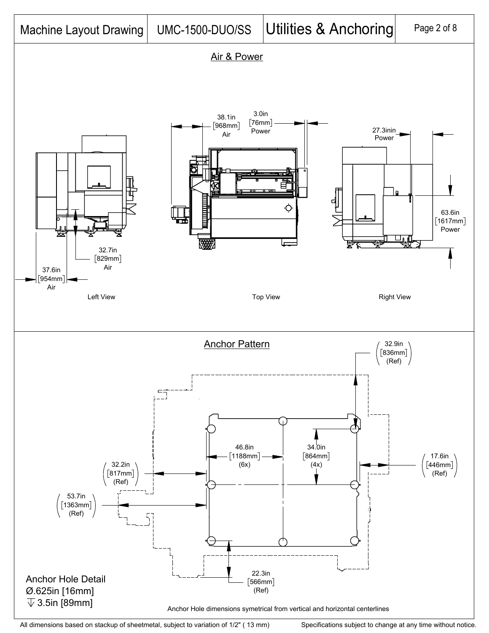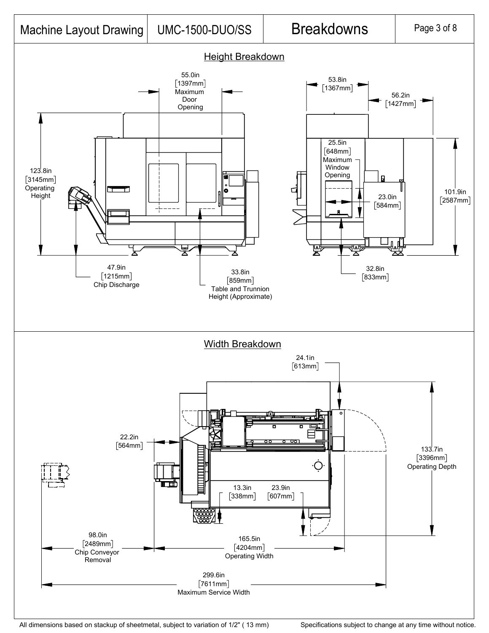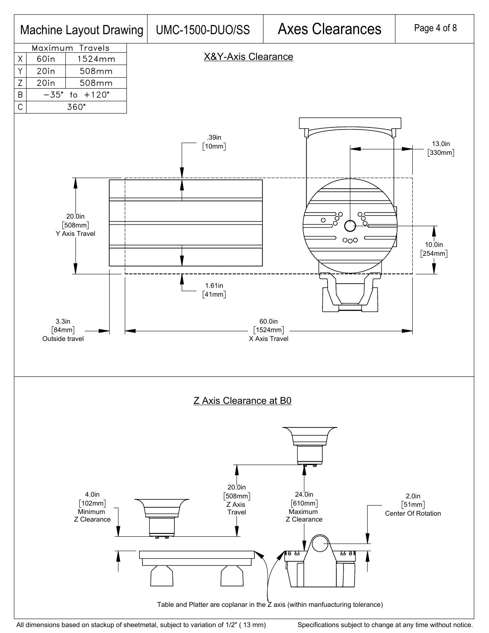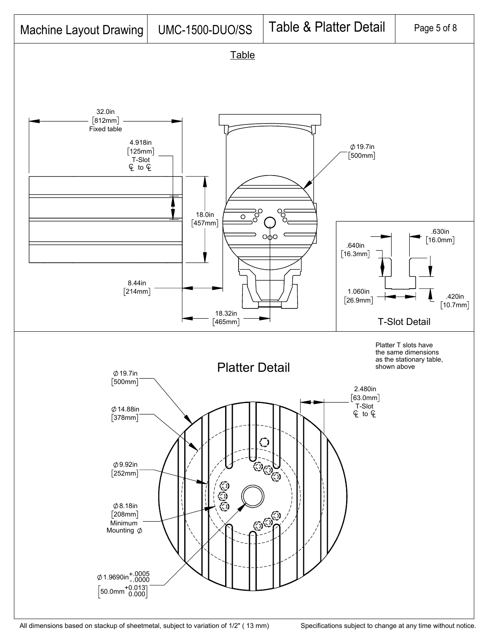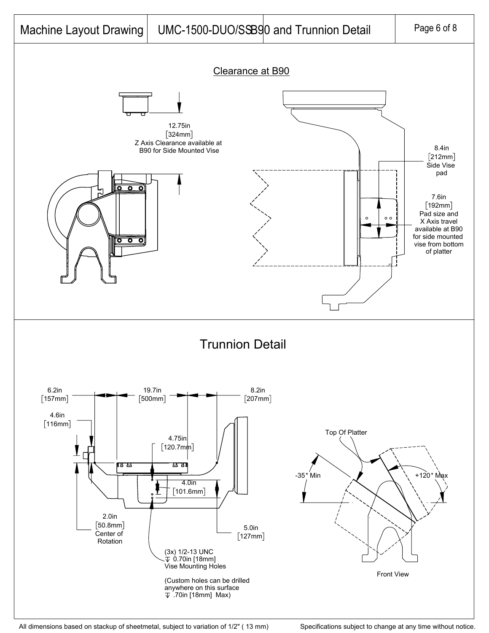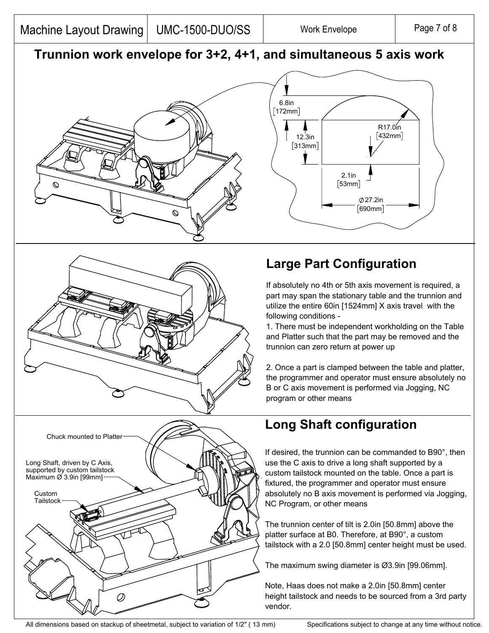## **Trunnion work envelope for 3+2, 4+1, and simultaneous 5 axis work**







## **Large Part Configuration**

If absolutely no 4th or 5th axis movement is required, a part may span the stationary table and the trunnion and utilize the entire 60in [1524mm] X axis travel with the following conditions -

1. There must be independent workholding on the Table and Platter such that the part may be removed and the trunnion can zero return at power up

2. Once a part is clamped between the table and platter, the programmer and operator must ensure absolutely no B or C axis movement is performed via Jogging, NC program or other means

## **Long Shaft configuration**

If desired, the trunnion can be commanded to B90°, then use the C axis to drive a long shaft supported by a custom tailstock mounted on the table. Once a part is fixtured, the programmer and operator must ensure absolutely no B axis movement is performed via Jogging, NC Program, or other means

The trunnion center of tilt is 2.0in [50.8mm] above the platter surface at B0. Therefore, at B90°, a custom tailstock with a 2.0 [50.8mm] center height must be used.

The maximum swing diameter is Ø3.9in [99.06mm].

Note, Haas does not make a 2.0in [50.8mm] center height tailstock and needs to be sourced from a 3rd party vendor.